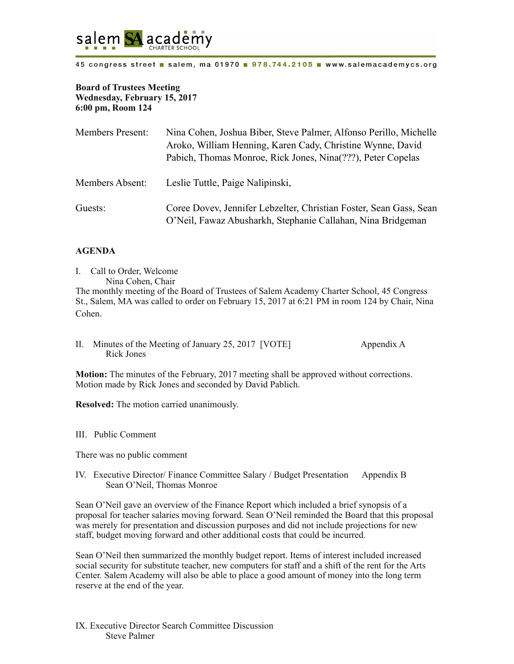

45 congress street a salem, ma 01970 a 978.744.2105 a www.salemacademycs.org

## **Board of Trustees Meeting Wednesday, February 15, 2017 6:00 pm, Room 124**

| <b>Members Present:</b> | Nina Cohen, Joshua Biber, Steve Palmer, Alfonso Perillo, Michelle<br>Aroko, William Henning, Karen Cady, Christine Wynne, David<br>Pabich, Thomas Monroe, Rick Jones, Nina(???), Peter Copelas |
|-------------------------|------------------------------------------------------------------------------------------------------------------------------------------------------------------------------------------------|
| Members Absent:         | Leslie Tuttle, Paige Nalipinski,                                                                                                                                                               |
| Guests:                 | Coree Dovey, Jennifer Lebzelter, Christian Foster, Sean Gass, Sean<br>O'Neil, Fawaz Abusharkh, Stephanie Callahan, Nina Bridgeman                                                              |

## **AGENDA**

- I. Call to Order, Welcome Nina Cohen, Chair The monthly meeting of the Board of Trustees of Salem Academy Charter School, 45 Congress St., Salem, MA was called to order on February 15, 2017 at 6:21 PM in room 124 by Chair, Nina Cohen.
- II. Minutes of the Meeting of January 25, 2017 [VOTE] Appendix A Rick Jones

**Motion:** The minutes of the February, 2017 meeting shall be approved without corrections. Motion made by Rick Jones and seconded by David Pablich.

**Resolved:** The motion carried unanimously.

III. Public Comment

There was no public comment

IV. Executive Director/ Finance Committee Salary / Budget Presentation Appendix B Sean O'Neil, Thomas Monroe

Sean O'Neil gave an overview of the Finance Report which included a brief synopsis of a proposal for teacher salaries moving forward. Sean O'Neil reminded the Board that this proposal was merely for presentation and discussion purposes and did not include projections for new staff, budget moving forward and other additional costs that could be incurred.

Sean O'Neil then summarized the monthly budget report. Items of interest included increased social security for substitute teacher, new computers for staff and a shift of the rent for the Arts Center. Salem Academy will also be able to place a good amount of money into the long term reserve at the end of the year.

IX. Executive Director Search Committee Discussion Steve Palmer